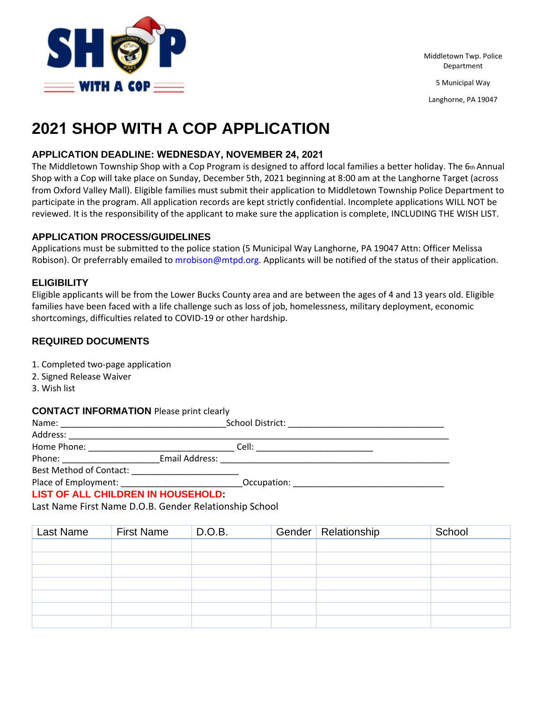

Middletown Twp. Police Department 5 Municipal Way

Langhorne, PA 19047

# **2021 SHOP WITH A COP APPLICATION**

#### **APPLICATION DEADLINE: WEDNESDAY, NOVEMBER 24, 2021**

The Middletown Township Shop with a Cop Program is designed to afford local families a better holiday. The 6th Annual Shop with a Cop will take place on Sunday, December 5th, 2021 beginning at 8:00 am at the Langhorne Target (across from Oxford Valley Mall). Eligible families must submit their application to Middletown Township Police Department to participate in the program. All application records are kept strictly confidential. Incomplete applications WILL NOT be reviewed. It is the responsibility of the applicant to make sure the application is complete, INCLUDING THE WISH LIST.

#### **APPLICATION PROCESS/GUIDELINES**

Applications must be submitted to the police station (5 Municipal Way Langhorne, PA 19047 Attn: Officer Melissa Robison). Or preferrably emailed to mrobison@mtpd.org. Applicants will be notified of the status of their application.

#### **ELIGIBILITY**

Eligible applicants will be from the Lower Bucks County area and are between the ages of 4 and 13 years old. Eligible families have been faced with a life challenge such as loss of job, homelessness, military deployment, economic shortcomings, difficulties related to COVID-19 or other hardship.

#### **REQUIRED DOCUMENTS**

1. Completed two-page application

- 2. Signed Release Waiver
- 3. Wish list

#### **CONTACT INFORMATION** Please print clearly

| Name:                          |                | School District: |  |
|--------------------------------|----------------|------------------|--|
| Address:                       |                |                  |  |
| Home Phone:                    |                | Cell:            |  |
| Phone:                         | Email Address: |                  |  |
| <b>Best Method of Contact:</b> |                |                  |  |
| Place of Employment:           |                | Occupation:      |  |

#### **LIST OF ALL CHILDREN IN HOUSEHOLD:**

Last Name First Name D.O.B. Gender Relationship School

| Last Name | <b>First Name</b> | D.O.B. | Gender   Relationship | School |
|-----------|-------------------|--------|-----------------------|--------|
|           |                   |        |                       |        |
|           |                   |        |                       |        |
|           |                   |        |                       |        |
|           |                   |        |                       |        |
|           |                   |        |                       |        |
|           |                   |        |                       |        |
|           |                   |        |                       |        |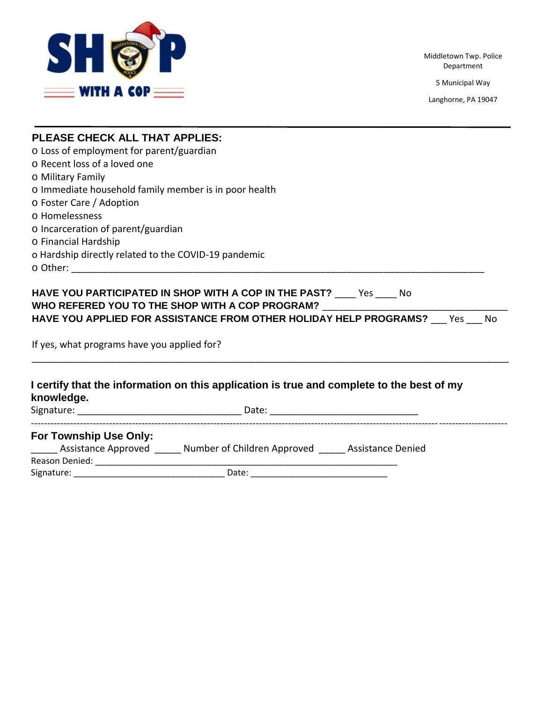

Middletown Twp. Police Department

5 Municipal Way

Langhorne, PA 19047

| <b>PLEASE CHECK ALL THAT APPLIES:</b>                 |                                                                                           |                                                                          |  |  |
|-------------------------------------------------------|-------------------------------------------------------------------------------------------|--------------------------------------------------------------------------|--|--|
| o Loss of employment for parent/guardian              |                                                                                           |                                                                          |  |  |
| o Recent loss of a loved one                          |                                                                                           |                                                                          |  |  |
| <b>O Military Family</b>                              |                                                                                           |                                                                          |  |  |
| o Immediate household family member is in poor health |                                                                                           |                                                                          |  |  |
| O Foster Care / Adoption                              |                                                                                           |                                                                          |  |  |
| <b>O</b> Homelessness                                 |                                                                                           |                                                                          |  |  |
| o Incarceration of parent/guardian                    |                                                                                           |                                                                          |  |  |
| O Financial Hardship                                  |                                                                                           |                                                                          |  |  |
|                                                       | o Hardship directly related to the COVID-19 pandemic                                      |                                                                          |  |  |
|                                                       |                                                                                           |                                                                          |  |  |
| If yes, what programs have you applied for?           | WHO REFERED YOU TO THE SHOP WITH A COP PROGRAM? ________________________________          | HAVE YOU APPLIED FOR ASSISTANCE FROM OTHER HOLIDAY HELP PROGRAMS? Yes No |  |  |
| knowledge.                                            | I certify that the information on this application is true and complete to the best of my |                                                                          |  |  |
|                                                       |                                                                                           |                                                                          |  |  |
| For Township Use Only:                                |                                                                                           |                                                                          |  |  |
|                                                       | _____ Assistance Approved _____ Number of Children Approved _____ Assistance Denied       |                                                                          |  |  |
|                                                       |                                                                                           |                                                                          |  |  |
|                                                       |                                                                                           |                                                                          |  |  |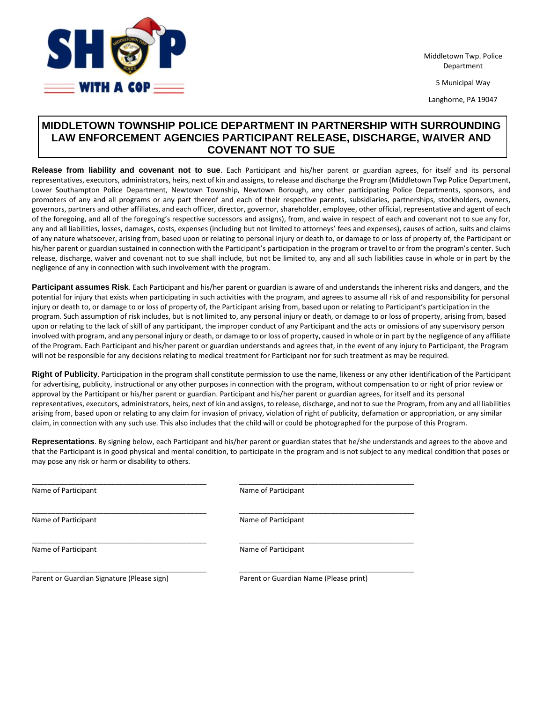

Middletown Twp. Police Department

5 Municipal Way

Langhorne, PA 19047

### **MIDDLETOWN TOWNSHIP POLICE DEPARTMENT IN PARTNERSHIP WITH SURROUNDING LAW ENFORCEMENT AGENCIES PARTICIPANT RELEASE, DISCHARGE, WAIVER AND COVENANT NOT TO SUE**

**Release from liability and covenant not to sue**. Each Participant and his/her parent or guardian agrees, for itself and its personal representatives, executors, administrators, heirs, next of kin and assigns, to release and discharge the Program (Middletown Twp Police Department, Lower Southampton Police Department, Newtown Township, Newtown Borough, any other participating Police Departments, sponsors, and promoters of any and all programs or any part thereof and each of their respective parents, subsidiaries, partnerships, stockholders, owners, governors, partners and other affiliates, and each officer, director, governor, shareholder, employee, other official, representative and agent of each of the foregoing, and all of the foregoing's respective successors and assigns), from, and waive in respect of each and covenant not to sue any for, any and all liabilities, losses, damages, costs, expenses (including but not limited to attorneys' fees and expenses), causes of action, suits and claims of any nature whatsoever, arising from, based upon or relating to personal injury or death to, or damage to or loss of property of, the Participant or his/her parent or guardian sustained in connection with the Participant's participation in the program or travel to or from the program's center. Such release, discharge, waiver and covenant not to sue shall include, but not be limited to, any and all such liabilities cause in whole or in part by the negligence of any in connection with such involvement with the program.

**Participant assumes Risk**. Each Participant and his/her parent or guardian is aware of and understands the inherent risks and dangers, and the potential for injury that exists when participating in such activities with the program, and agrees to assume all risk of and responsibility for personal injury or death to, or damage to or loss of property of, the Participant arising from, based upon or relating to Participant's participation in the program. Such assumption of risk includes, but is not limited to, any personal injury or death, or damage to or loss of property, arising from, based upon or relating to the lack of skill of any participant, the improper conduct of any Participant and the acts or omissions of any supervisory person involved with program, and any personal injury or death, or damage to or loss of property, caused in whole or in part by the negligence of any affiliate of the Program. Each Participant and his/her parent or guardian understands and agrees that, in the event of any injury to Participant, the Program will not be responsible for any decisions relating to medical treatment for Participant nor for such treatment as may be required.

**Right of Publicity**. Participation in the program shall constitute permission to use the name, likeness or any other identification of the Participant for advertising, publicity, instructional or any other purposes in connection with the program, without compensation to or right of prior review or approval by the Participant or his/her parent or guardian. Participant and his/her parent or guardian agrees, for itself and its personal representatives, executors, administrators, heirs, next of kin and assigns, to release, discharge, and not to sue the Program, from any and all liabilities arising from, based upon or relating to any claim for invasion of privacy, violation of right of publicity, defamation or appropriation, or any similar claim, in connection with any such use. This also includes that the child will or could be photographed for the purpose of this Program.

**Representations**. By signing below, each Participant and his/her parent or guardian states that he/she understands and agrees to the above and that the Participant is in good physical and mental condition, to participate in the program and is not subject to any medical condition that poses or may pose any risk or harm or disability to others.

| Name of Participant                        | Name of Participant                    |
|--------------------------------------------|----------------------------------------|
| Name of Participant                        | Name of Participant                    |
| Name of Participant                        | Name of Participant                    |
| Parent or Guardian Signature (Please sign) | Parent or Guardian Name (Please print) |